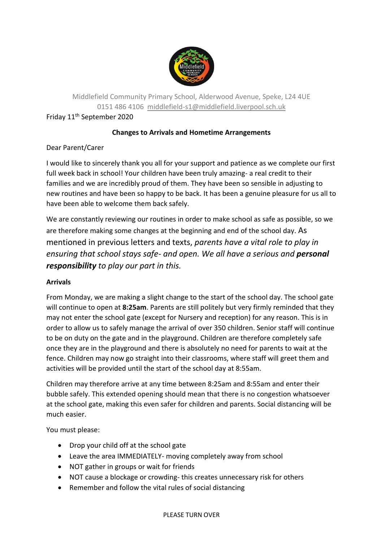

Middlefield Community Primary School, Alderwood Avenue, Speke, L24 4UE 0151 486 4106 [middlefield-s1@middlefield.liverpool.sch.uk](mailto:middlefield-s1@middlefield.liverpool.sch.uk)

Friday 11th September 2020

# **Changes to Arrivals and Hometime Arrangements**

## Dear Parent/Carer

I would like to sincerely thank you all for your support and patience as we complete our first full week back in school! Your children have been truly amazing- a real credit to their families and we are incredibly proud of them. They have been so sensible in adjusting to new routines and have been so happy to be back. It has been a genuine pleasure for us all to have been able to welcome them back safely.

We are constantly reviewing our routines in order to make school as safe as possible, so we are therefore making some changes at the beginning and end of the school day. As mentioned in previous letters and texts, *parents have a vital role to play in ensuring that school stays safe- and open. We all have a serious and personal responsibility to play our part in this.* 

## **Arrivals**

From Monday, we are making a slight change to the start of the school day. The school gate will continue to open at **8:25am**. Parents are still politely but very firmly reminded that they may not enter the school gate (except for Nursery and reception) for any reason. This is in order to allow us to safely manage the arrival of over 350 children. Senior staff will continue to be on duty on the gate and in the playground. Children are therefore completely safe once they are in the playground and there is absolutely no need for parents to wait at the fence. Children may now go straight into their classrooms, where staff will greet them and activities will be provided until the start of the school day at 8:55am.

Children may therefore arrive at any time between 8:25am and 8:55am and enter their bubble safely. This extended opening should mean that there is no congestion whatsoever at the school gate, making this even safer for children and parents. Social distancing will be much easier.

You must please:

- Drop your child off at the school gate
- Leave the area IMMEDIATELY- moving completely away from school
- NOT gather in groups or wait for friends
- NOT cause a blockage or crowding-this creates unnecessary risk for others
- Remember and follow the vital rules of social distancing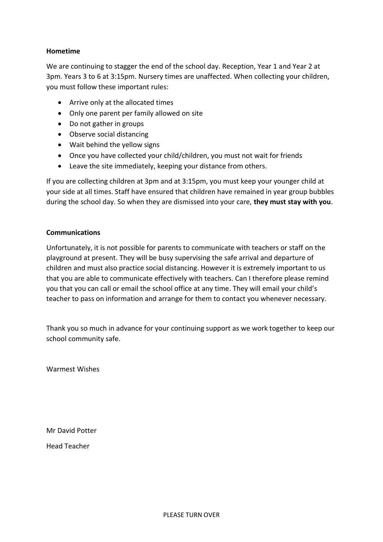### **Hometime**

We are continuing to stagger the end of the school day. Reception, Year 1 and Year 2 at 3pm. Years 3 to 6 at 3:15pm. Nursery times are unaffected. When collecting your children, you must follow these important rules:

- Arrive only at the allocated times
- Only one parent per family allowed on site
- Do not gather in groups
- Observe social distancing
- Wait behind the yellow signs
- Once you have collected your child/children, you must not wait for friends
- Leave the site immediately, keeping your distance from others.

If you are collecting children at 3pm and at 3:15pm, you must keep your younger child at your side at all times. Staff have ensured that children have remained in year group bubbles during the school day. So when they are dismissed into your care, **they must stay with you**.

#### **Communications**

Unfortunately, it is not possible for parents to communicate with teachers or staff on the playground at present. They will be busy supervising the safe arrival and departure of children and must also practice social distancing. However it is extremely important to us that you are able to communicate effectively with teachers. Can I therefore please remind you that you can call or email the school office at any time. They will email your child's teacher to pass on information and arrange for them to contact you whenever necessary.

Thank you so much in advance for your continuing support as we work together to keep our school community safe.

Warmest Wishes

Mr David Potter

Head Teacher